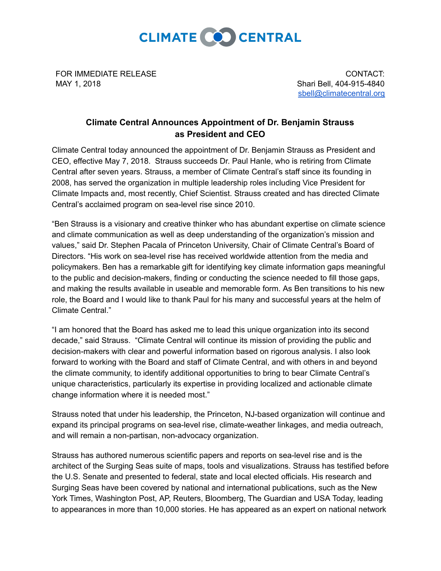

FOR IMMEDIATE RELEASE MAY 1, 2018

CONTACT: Shari Bell, 404-915-4840 [sbell@climatecentral.org](mailto:sbell@climatecentral.org)

## **Climate Central Announces Appointment of Dr. Benjamin Strauss as President and CEO**

Climate Central today announced the appointment of Dr. Benjamin Strauss as President and CEO, effective May 7, 2018. Strauss succeeds Dr. Paul Hanle, who is retiring from Climate Central after seven years. Strauss, a member of Climate Central's staff since its founding in 2008, has served the organization in multiple leadership roles including Vice President for Climate Impacts and, most recently, Chief Scientist. Strauss created and has directed Climate Central's acclaimed program on sealevel rise since 2010.

"Ben Strauss is a visionary and creative thinker who has abundant expertise on climate science and climate communication as well as deep understanding of the organization's mission and values," said Dr. Stephen Pacala of Princeton University, Chair of Climate Central's Board of Directors. "His work on sea-level rise has received worldwide attention from the media and policymakers. Ben has a remarkable gift for identifying key climate information gaps meaningful to the public and decision-makers, finding or conducting the science needed to fill those gaps, and making the results available in useable and memorable form. As Ben transitions to his new role, the Board and I would like to thank Paul for his many and successful years at the helm of Climate Central."

"I am honored that the Board has asked me to lead this unique organization into its second decade," said Strauss. "Climate Central will continue its mission of providing the public and decision-makers with clear and powerful information based on rigorous analysis. I also look forward to working with the Board and staff of Climate Central, and with others in and beyond the climate community, to identify additional opportunities to bring to bear Climate Central's unique characteristics, particularly its expertise in providing localized and actionable climate change information where it is needed most."

Strauss noted that under his leadership, the Princeton, NJ-based organization will continue and expand its principal programs on sea-level rise, climate-weather linkages, and media outreach, and will remain a non-partisan, non-advocacy organization.

Strauss has authored numerous scientific papers and reports on sealevel rise and is the architect of the Surging Seas suite of maps, tools and visualizations. Strauss has [testified](http://www.climatecentral.org/videos/news-and-reports/ben-strauss-senate-testimony-on-sea-level-rise) before the U.S. [Senate](http://www.climatecentral.org/videos/news-and-reports/ben-strauss-senate-testimony-on-sea-level-rise) and presented to federal, state and local elected officials. His research and Surging Seas have been covered by national and international publications, such as the New York Times, Washington Post, AP, Reuters, Bloomberg, The Guardian and USA Today, leading to appearances in more than 10,000 stories. He has appeared as an expert on national network